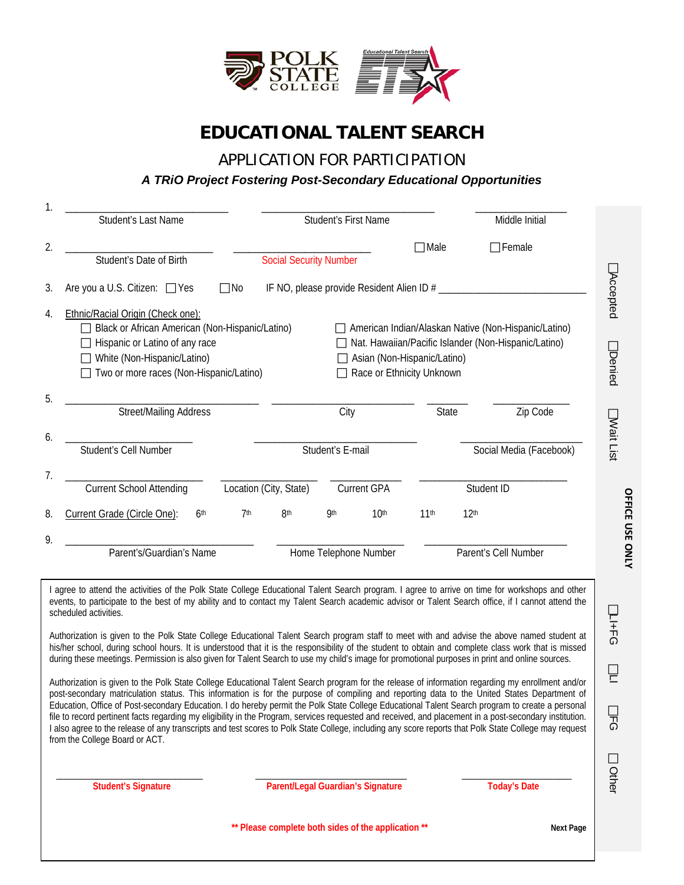

# **EDUCATIONAL TALENT SEARCH**

APPLICATION FOR PARTICIPATION

#### *A TRiO Project Fostering Post-Secondary Educational Opportunities*

|                | Student's Last Name                                                                                                                           |                                                 | Student's First Name           |                                                          | Middle Initial                                                                                               |  |
|----------------|-----------------------------------------------------------------------------------------------------------------------------------------------|-------------------------------------------------|--------------------------------|----------------------------------------------------------|--------------------------------------------------------------------------------------------------------------|--|
| 2.             | Student's Date of Birth                                                                                                                       | <b>Social Security Number</b>                   |                                | $\Box$ Male                                              | $\Box$ Female                                                                                                |  |
| 3.             | Are you a U.S. Citizen: □ Yes<br>$\Box$ No                                                                                                    |                                                 |                                |                                                          |                                                                                                              |  |
| 4.             | Ethnic/Racial Origin (Check one):<br>Hispanic or Latino of any race<br>White (Non-Hispanic/Latino)<br>Two or more races (Non-Hispanic/Latino) | Black or African American (Non-Hispanic/Latino) |                                | Asian (Non-Hispanic/Latino)<br>Race or Ethnicity Unknown | American Indian/Alaskan Native (Non-Hispanic/Latino)<br>Nat. Hawaiian/Pacific Islander (Non-Hispanic/Latino) |  |
| 5.             | <b>Street/Mailing Address</b>                                                                                                                 |                                                 | City                           | State                                                    | Zip Code                                                                                                     |  |
| 6.             | Student's Cell Number                                                                                                                         | Student's E-mail                                |                                |                                                          | Social Media (Facebook)                                                                                      |  |
| 7 <sub>1</sub> | <b>Current School Attending</b>                                                                                                               | Location (City, State)                          | <b>Current GPA</b>             |                                                          | Student ID                                                                                                   |  |
| 8.             | Current Grade (Circle One):<br>6 <sup>th</sup><br>7 <sup>th</sup>                                                                             | 8 <sup>th</sup>                                 | 10 <sup>th</sup><br><b>9th</b> | 11 <sup>th</sup>                                         | 12 <sup>th</sup>                                                                                             |  |
| 9.             | Parent's/Guardian's Name                                                                                                                      |                                                 | Home Telephone Number          |                                                          | Parent's Cell Number                                                                                         |  |

I agree to attend the activities of the Polk State College Educational Talent Search program. I agree to arrive on time for workshops and other events, to participate to the best of my ability and to contact my Talent Search academic advisor or Talent Search office, if I cannot attend the scheduled activities.

Authorization is given to the Polk State College Educational Talent Search program staff to meet with and advise the above named student at his/her school, during school hours. It is understood that it is the responsibility of the student to obtain and complete class work that is missed during these meetings. Permission is also given for Talent Search to use my child's image for promotional purposes in print and online sources.

Authorization is given to the Polk State College Educational Talent Search program for the release of information regarding my enrollment and/or post-secondary matriculation status. This information is for the purpose of compiling and reporting data to the United States Department of Education, Office of Post-secondary Education. I do hereby permit the Polk State College Educational Talent Search program to create a personal file to record pertinent facts regarding my eligibility in the Program, services requested and received, and placement in a post-secondary institution. I also agree to the release of any transcripts and test scores to Polk State College, including any score reports that Polk State College may request from the College Board or ACT.

 \_\_\_\_\_\_\_\_\_\_\_\_\_\_\_\_\_\_\_\_\_\_\_\_\_\_\_\_\_\_\_\_ \_\_\_\_\_\_\_\_\_\_\_\_\_\_\_\_\_\_\_\_\_\_\_\_\_\_\_\_\_\_\_\_\_ \_\_\_\_\_\_\_\_\_\_\_\_\_\_\_\_\_\_\_\_\_\_\_\_ **Student's Signature Parent/Legal Guardian's Signature Today's Date**

\*\* Please complete both sides of the application \*\* **Next Page** 

 $\Box$ LI+FG

 $\Box$  $\overline{a}$ 

 $\Box$ ማ<br>ማ

 $\Box$ Other